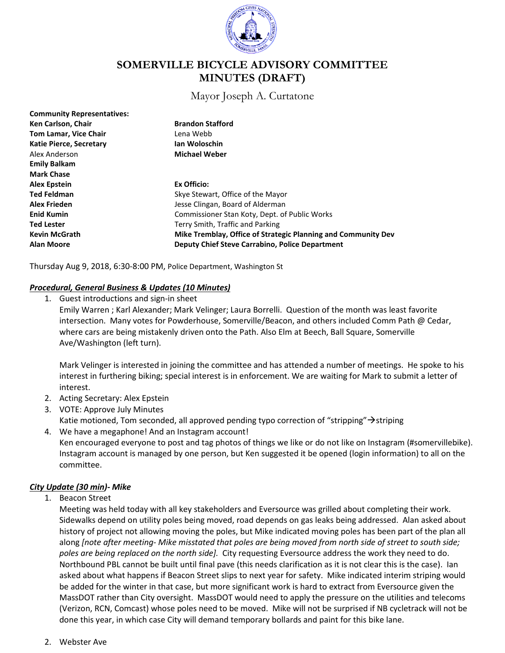

# **SOMERVILLE BICYCLE ADVISORY COMMITTEE MINUTES (DRAFT)**

Mayor Joseph A. Curtatone

| <b>Community Representatives:</b> |                                                               |
|-----------------------------------|---------------------------------------------------------------|
| Ken Carlson, Chair                | <b>Brandon Stafford</b>                                       |
| <b>Tom Lamar, Vice Chair</b>      | Lena Webb                                                     |
| <b>Katie Pierce, Secretary</b>    | Ian Woloschin                                                 |
| Alex Anderson                     | <b>Michael Weber</b>                                          |
| <b>Emily Balkam</b>               |                                                               |
| <b>Mark Chase</b>                 |                                                               |
| <b>Alex Epstein</b>               | Ex Officio:                                                   |
| <b>Ted Feldman</b>                | Skye Stewart, Office of the Mayor                             |
| <b>Alex Frieden</b>               | Jesse Clingan, Board of Alderman                              |
| <b>Enid Kumin</b>                 | Commissioner Stan Koty, Dept. of Public Works                 |
| <b>Ted Lester</b>                 | Terry Smith, Traffic and Parking                              |
| <b>Kevin McGrath</b>              | Mike Tremblay, Office of Strategic Planning and Community Dev |
| <b>Alan Moore</b>                 | <b>Deputy Chief Steve Carrabino, Police Department</b>        |

Thursday Aug 9, 2018, 6:30-8:00 PM, Police Department, Washington St

### *Procedural, General Business & Updates (10 Minutes)*

1. Guest introductions and sign-in sheet

Emily Warren ; Karl Alexander; Mark Velinger; Laura Borrelli. Question of the month was least favorite intersection. Many votes for Powderhouse, Somerville/Beacon, and others included Comm Path @ Cedar, where cars are being mistakenly driven onto the Path. Also Elm at Beech, Ball Square, Somerville Ave/Washington (left turn).

Mark Velinger is interested in joining the committee and has attended a number of meetings. He spoke to his interest in furthering biking; special interest is in enforcement. We are waiting for Mark to submit a letter of interest.

- 2. Acting Secretary: Alex Epstein
- 3. VOTE: Approve July Minutes
- Katie motioned, Tom seconded, all approved pending typo correction of "stripping" $\rightarrow$ striping
- 4. We have a megaphone! And an Instagram account!

Ken encouraged everyone to post and tag photos of things we like or do not like on Instagram (#somervillebike). Instagram account is managed by one person, but Ken suggested it be opened (login information) to all on the committee.

### *City Update (30 min)- Mike*

1. Beacon Street

Meeting was held today with all key stakeholders and Eversource was grilled about completing their work. Sidewalks depend on utility poles being moved, road depends on gas leaks being addressed. Alan asked about history of project not allowing moving the poles, but Mike indicated moving poles has been part of the plan all along *[note after meeting- Mike misstated that poles are being moved from north side of street to south side; poles are being replaced on the north side].* City requesting Eversource address the work they need to do. Northbound PBL cannot be built until final pave (this needs clarification as it is not clear this is the case). Ian asked about what happens if Beacon Street slips to next year for safety. Mike indicated interim striping would be added for the winter in that case, but more significant work is hard to extract from Eversource given the MassDOT rather than City oversight. MassDOT would need to apply the pressure on the utilities and telecoms (Verizon, RCN, Comcast) whose poles need to be moved. Mike will not be surprised if NB cycletrack will not be done this year, in which case City will demand temporary bollards and paint for this bike lane.

### 2. Webster Ave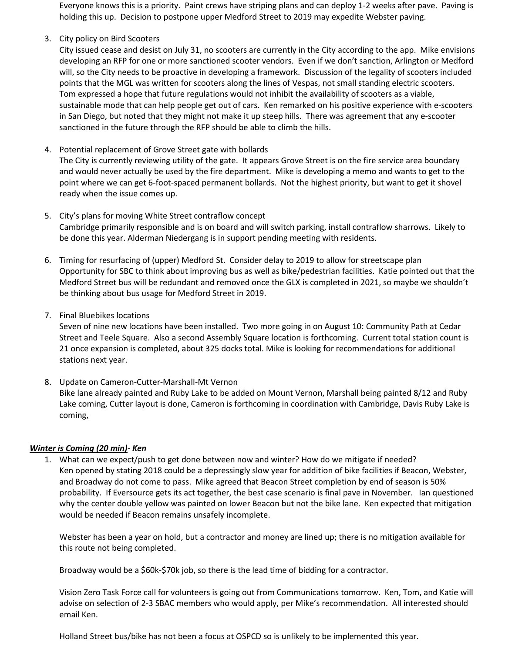Everyone knows this is a priority. Paint crews have striping plans and can deploy 1-2 weeks after pave. Paving is holding this up. Decision to postpone upper Medford Street to 2019 may expedite Webster paving.

3. City policy on Bird Scooters

City issued cease and desist on July 31, no scooters are currently in the City according to the app. Mike envisions developing an RFP for one or more sanctioned scooter vendors. Even if we don't sanction, Arlington or Medford will, so the City needs to be proactive in developing a framework. Discussion of the legality of scooters included points that the MGL was written for scooters along the lines of Vespas, not small standing electric scooters. Tom expressed a hope that future regulations would not inhibit the availability of scooters as a viable, sustainable mode that can help people get out of cars. Ken remarked on his positive experience with e-scooters in San Diego, but noted that they might not make it up steep hills. There was agreement that any e-scooter sanctioned in the future through the RFP should be able to climb the hills.

4. Potential replacement of Grove Street gate with bollards

The City is currently reviewing utility of the gate. It appears Grove Street is on the fire service area boundary and would never actually be used by the fire department. Mike is developing a memo and wants to get to the point where we can get 6-foot-spaced permanent bollards. Not the highest priority, but want to get it shovel ready when the issue comes up.

- 5. City's plans for moving White Street contraflow concept Cambridge primarily responsible and is on board and will switch parking, install contraflow sharrows. Likely to be done this year. Alderman Niedergang is in support pending meeting with residents.
- 6. Timing for resurfacing of (upper) Medford St. Consider delay to 2019 to allow for streetscape plan Opportunity for SBC to think about improving bus as well as bike/pedestrian facilities. Katie pointed out that the Medford Street bus will be redundant and removed once the GLX is completed in 2021, so maybe we shouldn't be thinking about bus usage for Medford Street in 2019.
- 7. Final Bluebikes locations

Seven of nine new locations have been installed. Two more going in on August 10: Community Path at Cedar Street and Teele Square. Also a second Assembly Square location is forthcoming. Current total station count is 21 once expansion is completed, about 325 docks total. Mike is looking for recommendations for additional stations next year.

8. Update on Cameron-Cutter-Marshall-Mt Vernon

Bike lane already painted and Ruby Lake to be added on Mount Vernon, Marshall being painted 8/12 and Ruby Lake coming, Cutter layout is done, Cameron is forthcoming in coordination with Cambridge, Davis Ruby Lake is coming,

# *Winter is Coming (20 min)- Ken*

1. What can we expect/push to get done between now and winter? How do we mitigate if needed? Ken opened by stating 2018 could be a depressingly slow year for addition of bike facilities if Beacon, Webster, and Broadway do not come to pass. Mike agreed that Beacon Street completion by end of season is 50% probability. If Eversource gets its act together, the best case scenario is final pave in November. Ian questioned why the center double yellow was painted on lower Beacon but not the bike lane. Ken expected that mitigation would be needed if Beacon remains unsafely incomplete.

Webster has been a year on hold, but a contractor and money are lined up; there is no mitigation available for this route not being completed.

Broadway would be a \$60k-\$70k job, so there is the lead time of bidding for a contractor.

Vision Zero Task Force call for volunteers is going out from Communications tomorrow. Ken, Tom, and Katie will advise on selection of 2-3 SBAC members who would apply, per Mike's recommendation. All interested should email Ken.

Holland Street bus/bike has not been a focus at OSPCD so is unlikely to be implemented this year.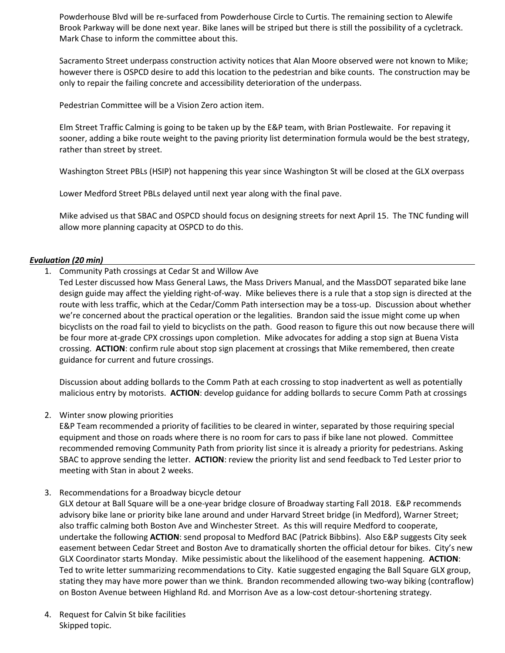Powderhouse Blvd will be re-surfaced from Powderhouse Circle to Curtis. The remaining section to Alewife Brook Parkway will be done next year. Bike lanes will be striped but there is still the possibility of a cycletrack. Mark Chase to inform the committee about this.

Sacramento Street underpass construction activity notices that Alan Moore observed were not known to Mike; however there is OSPCD desire to add this location to the pedestrian and bike counts. The construction may be only to repair the failing concrete and accessibility deterioration of the underpass.

Pedestrian Committee will be a Vision Zero action item.

Elm Street Traffic Calming is going to be taken up by the E&P team, with Brian Postlewaite. For repaving it sooner, adding a bike route weight to the paving priority list determination formula would be the best strategy, rather than street by street.

Washington Street PBLs (HSIP) not happening this year since Washington St will be closed at the GLX overpass

Lower Medford Street PBLs delayed until next year along with the final pave.

Mike advised us that SBAC and OSPCD should focus on designing streets for next April 15. The TNC funding will allow more planning capacity at OSPCD to do this.

### *Evaluation (20 min)*

- 1. Community Path crossings at Cedar St and Willow Ave
	- Ted Lester discussed how Mass General Laws, the Mass Drivers Manual, and the MassDOT separated bike lane design guide may affect the yielding right-of-way. Mike believes there is a rule that a stop sign is directed at the route with less traffic, which at the Cedar/Comm Path intersection may be a toss-up. Discussion about whether we're concerned about the practical operation or the legalities. Brandon said the issue might come up when bicyclists on the road fail to yield to bicyclists on the path. Good reason to figure this out now because there will be four more at-grade CPX crossings upon completion. Mike advocates for adding a stop sign at Buena Vista crossing. **ACTION**: confirm rule about stop sign placement at crossings that Mike remembered, then create guidance for current and future crossings.

Discussion about adding bollards to the Comm Path at each crossing to stop inadvertent as well as potentially malicious entry by motorists. **ACTION**: develop guidance for adding bollards to secure Comm Path at crossings

2. Winter snow plowing priorities

E&P Team recommended a priority of facilities to be cleared in winter, separated by those requiring special equipment and those on roads where there is no room for cars to pass if bike lane not plowed. Committee recommended removing Community Path from priority list since it is already a priority for pedestrians. Asking SBAC to approve sending the letter. **ACTION**: review the priority list and send feedback to Ted Lester prior to meeting with Stan in about 2 weeks.

3. Recommendations for a Broadway bicycle detour

GLX detour at Ball Square will be a one-year bridge closure of Broadway starting Fall 2018. E&P recommends advisory bike lane or priority bike lane around and under Harvard Street bridge (in Medford), Warner Street; also traffic calming both Boston Ave and Winchester Street. As this will require Medford to cooperate, undertake the following **ACTION**: send proposal to Medford BAC (Patrick Bibbins). Also E&P suggests City seek easement between Cedar Street and Boston Ave to dramatically shorten the official detour for bikes. City's new GLX Coordinator starts Monday. Mike pessimistic about the likelihood of the easement happening. **ACTION**: Ted to write letter summarizing recommendations to City. Katie suggested engaging the Ball Square GLX group, stating they may have more power than we think. Brandon recommended allowing two-way biking (contraflow) on Boston Avenue between Highland Rd. and Morrison Ave as a low-cost detour-shortening strategy.

4. Request for Calvin St bike facilities Skipped topic.